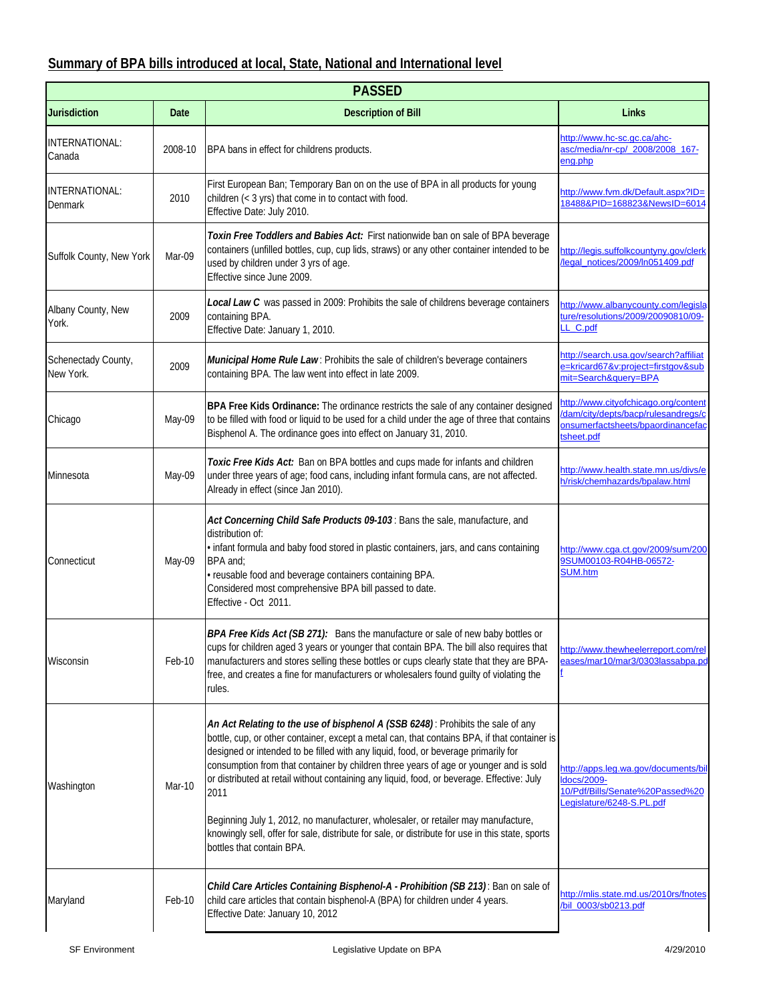## **Summary of BPA bills introduced at local, State, National and International level**

| <b>PASSED</b>                    |         |                                                                                                                                                                                                                                                                                                                                                                                                                                                                                                                                                                                                                                                                                            |                                                                                                                               |  |
|----------------------------------|---------|--------------------------------------------------------------------------------------------------------------------------------------------------------------------------------------------------------------------------------------------------------------------------------------------------------------------------------------------------------------------------------------------------------------------------------------------------------------------------------------------------------------------------------------------------------------------------------------------------------------------------------------------------------------------------------------------|-------------------------------------------------------------------------------------------------------------------------------|--|
| <b>Jurisdiction</b>              | Date    | <b>Description of Bill</b>                                                                                                                                                                                                                                                                                                                                                                                                                                                                                                                                                                                                                                                                 | Links                                                                                                                         |  |
| INTERNATIONAL:<br>Canada         | 2008-10 | BPA bans in effect for childrens products.                                                                                                                                                                                                                                                                                                                                                                                                                                                                                                                                                                                                                                                 | http://www.hc-sc.gc.ca/ahc-<br>asc/media/nr-cp/ 2008/2008 167-<br>ena.php                                                     |  |
| INTERNATIONAL:<br>Denmark        | 2010    | First European Ban; Temporary Ban on on the use of BPA in all products for young<br>children (< 3 yrs) that come in to contact with food.<br>Effective Date: July 2010.                                                                                                                                                                                                                                                                                                                                                                                                                                                                                                                    | http://www.fvm.dk/Default.aspx?ID=<br>18488&PID=168823&NewsID=6014                                                            |  |
| Suffolk County, New York         | Mar-09  | Toxin Free Toddlers and Babies Act: First nationwide ban on sale of BPA beverage<br>containers (unfilled bottles, cup, cup lids, straws) or any other container intended to be<br>used by children under 3 yrs of age.<br>Effective since June 2009.                                                                                                                                                                                                                                                                                                                                                                                                                                       | http://legis.suffolkcountyny.gov/clerk<br>/legal_notices/2009/ln051409.pdf                                                    |  |
| Albany County, New<br>York.      | 2009    | Local Law C was passed in 2009: Prohibits the sale of childrens beverage containers<br>containing BPA.<br>Effective Date: January 1, 2010.                                                                                                                                                                                                                                                                                                                                                                                                                                                                                                                                                 | http://www.albanycounty.com/legisla<br>ture/resolutions/2009/20090810/09-<br>LL_C.pdf                                         |  |
| Schenectady County,<br>New York. | 2009    | Municipal Home Rule Law: Prohibits the sale of children's beverage containers<br>containing BPA. The law went into effect in late 2009.                                                                                                                                                                                                                                                                                                                                                                                                                                                                                                                                                    | http://search.usa.gov/search?affiliat<br>e=kricard67&v:project=firstgov⊂<br>mit=Search&query=BPA                              |  |
| Chicago                          | May-09  | BPA Free Kids Ordinance: The ordinance restricts the sale of any container designed<br>to be filled with food or liquid to be used for a child under the age of three that contains<br>Bisphenol A. The ordinance goes into effect on January 31, 2010.                                                                                                                                                                                                                                                                                                                                                                                                                                    | http://www.cityofchicago.org/content<br>dam/city/depts/bacp/rulesandregs/c<br>onsumerfactsheets/bpaordinancefac<br>tsheet.pdf |  |
| Minnesota                        | May-09  | Toxic Free Kids Act: Ban on BPA bottles and cups made for infants and children<br>under three years of age; food cans, including infant formula cans, are not affected.<br>Already in effect (since Jan 2010).                                                                                                                                                                                                                                                                                                                                                                                                                                                                             | http://www.health.state.mn.us/divs/e<br>h/risk/chemhazards/bpalaw.html                                                        |  |
| Connecticut                      | May-09  | Act Concerning Child Safe Products 09-103: Bans the sale, manufacture, and<br>distribution of:<br>· infant formula and baby food stored in plastic containers, jars, and cans containing<br>BPA and:<br>· reusable food and beverage containers containing BPA.<br>Considered most comprehensive BPA bill passed to date.<br>Effective - Oct 2011.                                                                                                                                                                                                                                                                                                                                         | http://www.cga.ct.gov/2009/sum/200<br>9SUM00103-R04HB-06572-<br><b>SUM.htm</b>                                                |  |
| Wisconsin                        | Feb-10  | BPA Free Kids Act (SB 271): Bans the manufacture or sale of new baby bottles or<br>cups for children aged 3 years or younger that contain BPA. The bill also requires that<br>manufacturers and stores selling these bottles or cups clearly state that they are BPA-<br>free, and creates a fine for manufacturers or wholesalers found guilty of violating the<br>rules.                                                                                                                                                                                                                                                                                                                 | http://www.thewheelerreport.com/rel<br>eases/mar10/mar3/0303lassabpa.pd                                                       |  |
| Washington                       | Mar-10  | An Act Relating to the use of bisphenol A (SSB 6248): Prohibits the sale of any<br>bottle, cup, or other container, except a metal can, that contains BPA, if that container is<br>designed or intended to be filled with any liquid, food, or beverage primarily for<br>consumption from that container by children three years of age or younger and is sold<br>or distributed at retail without containing any liquid, food, or beverage. Effective: July<br>2011<br>Beginning July 1, 2012, no manufacturer, wholesaler, or retailer may manufacture,<br>knowingly sell, offer for sale, distribute for sale, or distribute for use in this state, sports<br>bottles that contain BPA. | http://apps.leq.wa.gov/documents/bil<br>Idocs/2009-<br>10/Pdf/Bills/Senate%20Passed%20<br>Legislature/6248-S.PL.pdf           |  |
| Maryland                         | Feb-10  | Child Care Articles Containing Bisphenol-A - Prohibition (SB 213): Ban on sale of<br>child care articles that contain bisphenol-A (BPA) for children under 4 years.<br>Effective Date: January 10, 2012                                                                                                                                                                                                                                                                                                                                                                                                                                                                                    | http://mlis.state.md.us/2010rs/fnotes<br>/bil_0003/sb0213.pdf                                                                 |  |